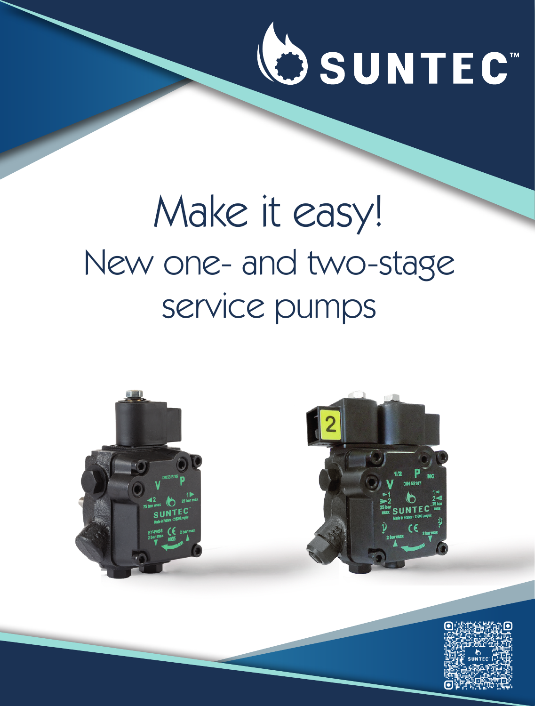

## Make it easy! New one- and two-stage service pumps